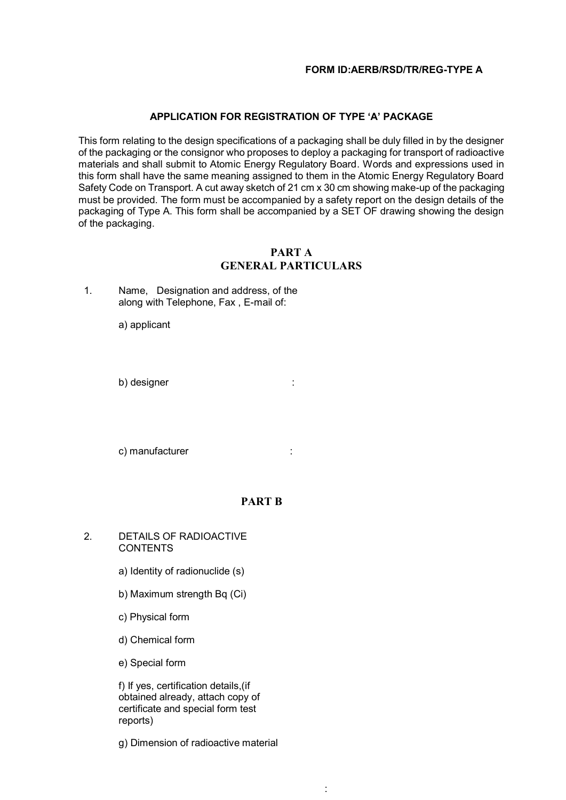### **APPLICATION FOR REGISTRATION OF TYPE 'A' PACKAGE**

This form relating to the design specifications of a packaging shall be duly filled in by the designer of the packaging or the consignor who proposes to deploy a packaging for transport of radioactive materials and shall submit to Atomic Energy Regulatory Board. Words and expressions used in this form shall have the same meaning assigned to them in the Atomic Energy Regulatory Board Safety Code on Transport. A cut away sketch of 21 cm x 30 cm showing make-up of the packaging must be provided. The form must be accompanied by a safety report on the design details of the packaging of Type A. This form shall be accompanied by a SET OF drawing showing the design of the packaging.

# **PART A GENERAL PARTICULARS**

| 1. | Name, Designation and address, of the |
|----|---------------------------------------|
|    | along with Telephone, Fax, E-mail of: |

a) applicant

b) designer :

c) manufacturer : the state of the state of the state of the state of the state of the state of the state of the state of the state of the state of the state of the state of the state of the state of the state of the state

# **PART B**

- 2. DETAILS OF RADIOACTIVE **CONTENTS** 
	- a) Identity of radionuclide (s)
	- b) Maximum strength Bq (Ci)
	- c) Physical form
	- d) Chemical form
	- e) Special form

f) If yes, certification details,(if obtained already, attach copy of certificate and special form test reports)

g) Dimension of radioactive material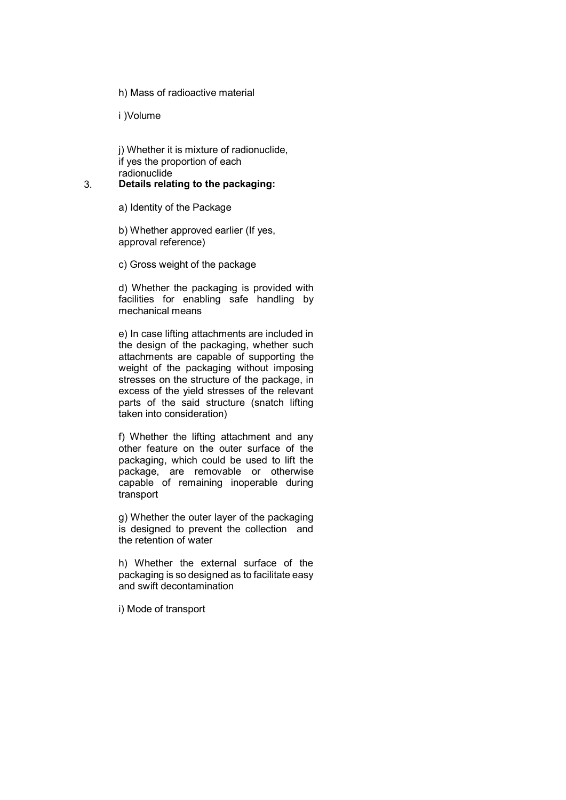h) Mass of radioactive material

i )Volume

j) Whether it is mixture of radionuclide, if yes the proportion of each radionuclide

### 3. **Details relating to the packaging:**

a) Identity of the Package

b) Whether approved earlier (If yes, approval reference)

c) Gross weight of the package

d) Whether the packaging is provided with facilities for enabling safe handling by mechanical means

e) In case lifting attachments are included in the design of the packaging, whether such attachments are capable of supporting the weight of the packaging without imposing stresses on the structure of the package, in excess of the yield stresses of the relevant parts of the said structure (snatch lifting taken into consideration)

f) Whether the lifting attachment and any other feature on the outer surface of the packaging, which could be used to lift the package, are removable or otherwise capable of remaining inoperable during transport

g) Whether the outer layer of the packaging is designed to prevent the collection and the retention of water

h) Whether the external surface of the packaging is so designed as to facilitate easy and swift decontamination

i) Mode of transport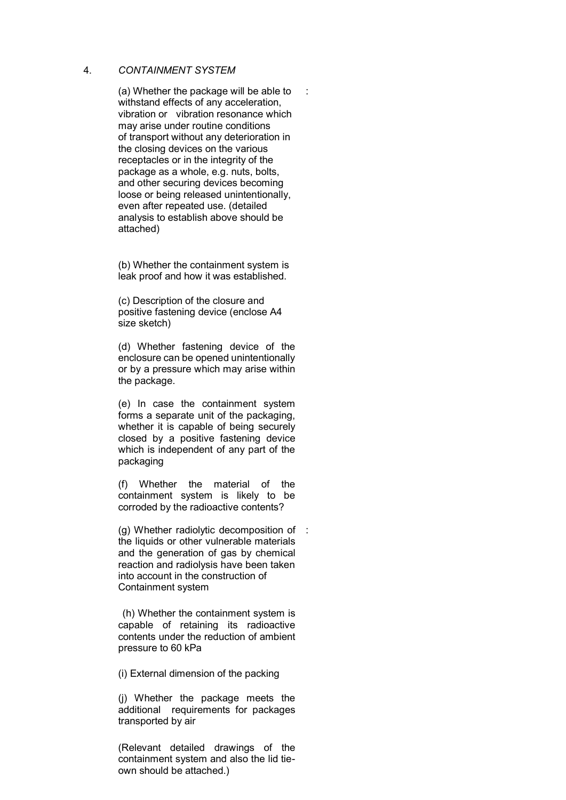#### 4. *CONTAINMENT SYSTEM*

(a) Whether the package will be able to withstand effects of any acceleration, vibration or vibration resonance which may arise under routine conditions of transport without any deterioration in the closing devices on the various receptacles or in the integrity of the package as a whole, e.g. nuts, bolts, and other securing devices becoming loose or being released unintentionally, even after repeated use. (detailed analysis to establish above should be attached)

:

(b) Whether the containment system is leak proof and how it was established.

(c) Description of the closure and positive fastening device (enclose A4 size sketch)

(d) Whether fastening device of the enclosure can be opened unintentionally or by a pressure which may arise within the package.

(e) In case the containment system forms a separate unit of the packaging, whether it is capable of being securely closed by a positive fastening device which is independent of any part of the packaging

(f) Whether the material of the containment system is likely to be corroded by the radioactive contents?

(g) Whether radiolytic decomposition of : the liquids or other vulnerable materials and the generation of gas by chemical reaction and radiolysis have been taken into account in the construction of Containment system

(h) Whether the containment system is capable of retaining its radioactive contents under the reduction of ambient pressure to 60 kPa

(i) External dimension of the packing

(j) Whether the package meets the additional requirements for packages transported by air

(Relevant detailed drawings of the containment system and also the lid tieown should be attached.)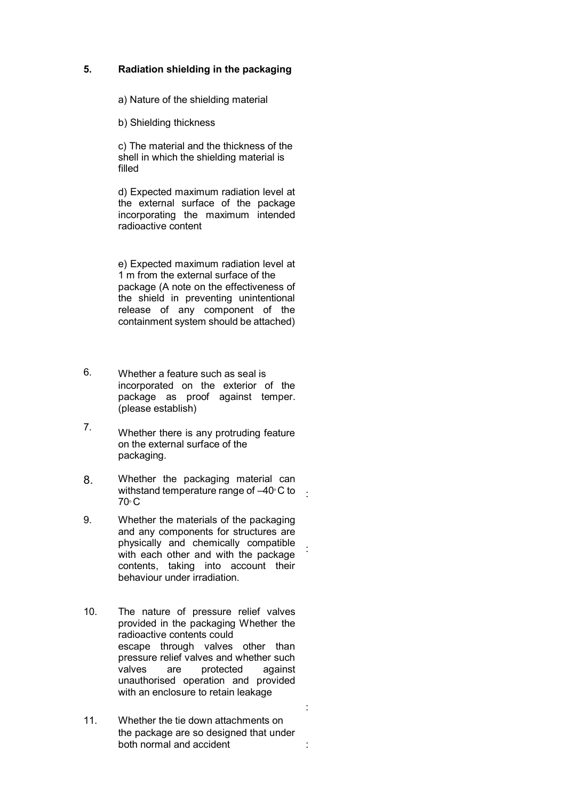# **5. Radiation shielding in the packaging**

a) Nature of the shielding material

b) Shielding thickness

c) The material and the thickness of the shell in which the shielding material is filled

d) Expected maximum radiation level at the external surface of the package incorporating the maximum intended radioactive content

e) Expected maximum radiation level at 1 m from the external surface of the package (A note on the effectiveness of the shield in preventing unintentional release of any component of the containment system should be attached)

- 6. Whether a feature such as seal is incorporated on the exterior of the package as proof against temper. (please establish)
- 7. Whether there is any protruding feature on the external surface of the packaging.
- 8. Whether the packaging material can withstand temperature range of  $-40^{\circ}$ C to  $\frac{1}{10}$  $70^\circ$  C
- 9. Whether the materials of the packaging and any components for structures are physically and chemically compatible with each other and with the package contents, taking into account their behaviour under irradiation.

:

:

- 10. The nature of pressure relief valves provided in the packaging Whether the radioactive contents could escape through valves other than pressure relief valves and whether such valves are protected against unauthorised operation and provided with an enclosure to retain leakage
- 11. Whether the tie down attachments on the package are so designed that under both normal and accident :